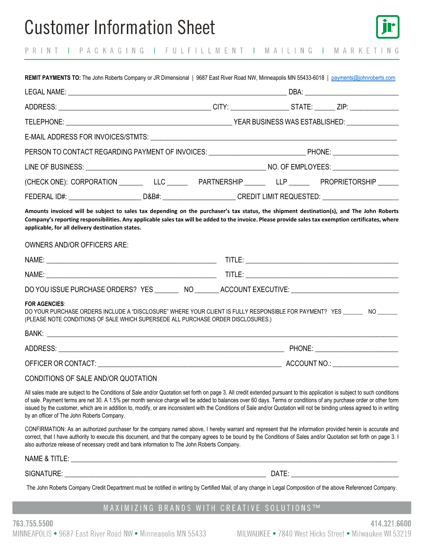# **Customer Information Sheet**



PRINT I PACKAGING I FULFILLMENT I MAILING I MARKETING

| REMIT PAYMENTS TO: The John Roberts Company or JR Dimensional   9687 East River Road NW, Minneapolis MN 55433-6018   payments@johnroberts.com                                                                                                                                                                                                                                                                                                                                                                                                                               |  |
|-----------------------------------------------------------------------------------------------------------------------------------------------------------------------------------------------------------------------------------------------------------------------------------------------------------------------------------------------------------------------------------------------------------------------------------------------------------------------------------------------------------------------------------------------------------------------------|--|
|                                                                                                                                                                                                                                                                                                                                                                                                                                                                                                                                                                             |  |
|                                                                                                                                                                                                                                                                                                                                                                                                                                                                                                                                                                             |  |
|                                                                                                                                                                                                                                                                                                                                                                                                                                                                                                                                                                             |  |
|                                                                                                                                                                                                                                                                                                                                                                                                                                                                                                                                                                             |  |
| PERSON TO CONTACT REGARDING PAYMENT OF INVOICES: UNITED ACCORDING PHONE: UNITED ACCORDING PAYMENT OF INVOICES:                                                                                                                                                                                                                                                                                                                                                                                                                                                              |  |
|                                                                                                                                                                                                                                                                                                                                                                                                                                                                                                                                                                             |  |
| (CHECK ONE): CORPORATION ___________LLC ___________ PARTNERSHIP ____________LLP ___________ PROPRIETORSHIP ______                                                                                                                                                                                                                                                                                                                                                                                                                                                           |  |
| FEDERAL ID#: ________________________D&B#: ______________________CREDIT LIMIT REQUESTED: _____________________                                                                                                                                                                                                                                                                                                                                                                                                                                                              |  |
| Amounts invoiced will be subject to sales tax depending on the purchaser's tax status, the shipment destination(s), and The John Roberts<br>Company's reporting responsibilities. Any applicable sales tax will be added to the invoice. Please provide sales tax exemption certificates, where<br>applicable, for all delivery destination states.                                                                                                                                                                                                                         |  |
| <b>OWNERS AND/OR OFFICERS ARE:</b>                                                                                                                                                                                                                                                                                                                                                                                                                                                                                                                                          |  |
|                                                                                                                                                                                                                                                                                                                                                                                                                                                                                                                                                                             |  |
|                                                                                                                                                                                                                                                                                                                                                                                                                                                                                                                                                                             |  |
| DO YOU ISSUE PURCHASE ORDERS? YES _________ NO _______ ACCOUNT EXECUTIVE: ___________________________________                                                                                                                                                                                                                                                                                                                                                                                                                                                               |  |
| <b>FOR AGENCIES:</b><br>DO YOUR PURCHASE ORDERS INCLUDE A "DISCLOSURE" WHERE YOUR CLIENT IS FULLY RESPONSIBLE FOR PAYMENT? YES _______ NO _______<br>(PLEASE NOTE CONDITIONS OF SALE WHICH SUPERSEDE ALL PURCHASE ORDER DISCLOSURES.)                                                                                                                                                                                                                                                                                                                                       |  |
|                                                                                                                                                                                                                                                                                                                                                                                                                                                                                                                                                                             |  |
|                                                                                                                                                                                                                                                                                                                                                                                                                                                                                                                                                                             |  |
|                                                                                                                                                                                                                                                                                                                                                                                                                                                                                                                                                                             |  |
| CONDITIONS OF SALE AND/OR QUOTATION                                                                                                                                                                                                                                                                                                                                                                                                                                                                                                                                         |  |
| All sales made are subject to the Conditions of Sale and/or Quotation set forth on page 3. All credit extended pursuant to this application is subject to such conditions<br>of sale. Payment terms are net 30. A 1.5% per month service charge will be added to balances over 60 days. Terms or conditions of any purchase order or other form<br>issued by the customer, which are in addition to, modify, or are inconsistent with the Conditions of Sale and/or Quotation will not be binding unless agreed to in writing<br>by an officer of The John Roberts Company. |  |
| CONFIRMATION: As an authorized purchaser for the company named above, I hereby warrant and represent that the information provided herein is accurate and<br>correct, that I have authority to execute this document, and that the company agrees to be bound by the Conditions of Sales and/or Quotation set forth on page 3.<br>also authorize release of necessary credit and bank information to The John Roberts Company.                                                                                                                                              |  |
|                                                                                                                                                                                                                                                                                                                                                                                                                                                                                                                                                                             |  |
|                                                                                                                                                                                                                                                                                                                                                                                                                                                                                                                                                                             |  |
| The John Roberts Company Credit Department must be notified in writing by Certified Mail, of any change in Legal Composition of the above Referenced Company.                                                                                                                                                                                                                                                                                                                                                                                                               |  |
| MAXIMIZING BRANDS WITH CREATIVE SOLUTIONS™                                                                                                                                                                                                                                                                                                                                                                                                                                                                                                                                  |  |

763.755.5500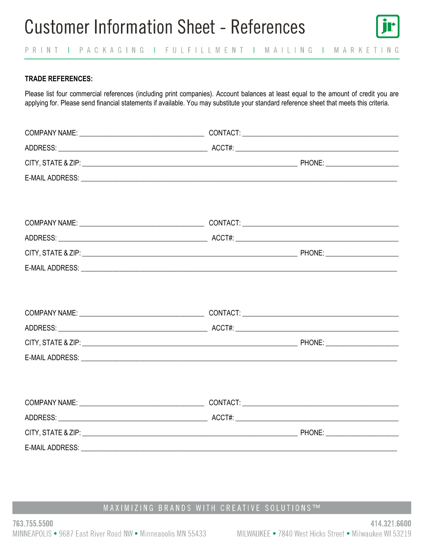

### **TRADE REFERENCES:**

Please list four commercial references (including print companies). Account balances at least equal to the amount of credit you are applying for. Please send financial statements if available. You may substitute your standard reference sheet that meets this criteria.

| E-MAIL ADDRESS: New York State Assessment and the Contract of the Contract of the Contract of the Contract of the Contract of the Contract of the Contract of the Contract of the Contract of the Contract of the Contract of  |
|--------------------------------------------------------------------------------------------------------------------------------------------------------------------------------------------------------------------------------|
|                                                                                                                                                                                                                                |
|                                                                                                                                                                                                                                |
|                                                                                                                                                                                                                                |
|                                                                                                                                                                                                                                |
|                                                                                                                                                                                                                                |
| E-MAIL ADDRESS: New York Contract the Contract of the Contract of the Contract of the Contract of the Contract of the Contract of the Contract of the Contract of the Contract of the Contract of the Contract of the Contract |
|                                                                                                                                                                                                                                |
|                                                                                                                                                                                                                                |
|                                                                                                                                                                                                                                |
|                                                                                                                                                                                                                                |
|                                                                                                                                                                                                                                |
| E-MAIL ADDRESS: New York State And The Contract of the Contract of the Contract of the Contract of the Contract of the Contract of the Contract of the Contract of the Contract of the Contract of the Contract of the Contrac |
|                                                                                                                                                                                                                                |
|                                                                                                                                                                                                                                |
|                                                                                                                                                                                                                                |
|                                                                                                                                                                                                                                |
|                                                                                                                                                                                                                                |
|                                                                                                                                                                                                                                |
|                                                                                                                                                                                                                                |

### MAXIMIZING BRANDS WITH CREATIVE SOLUTIONS™